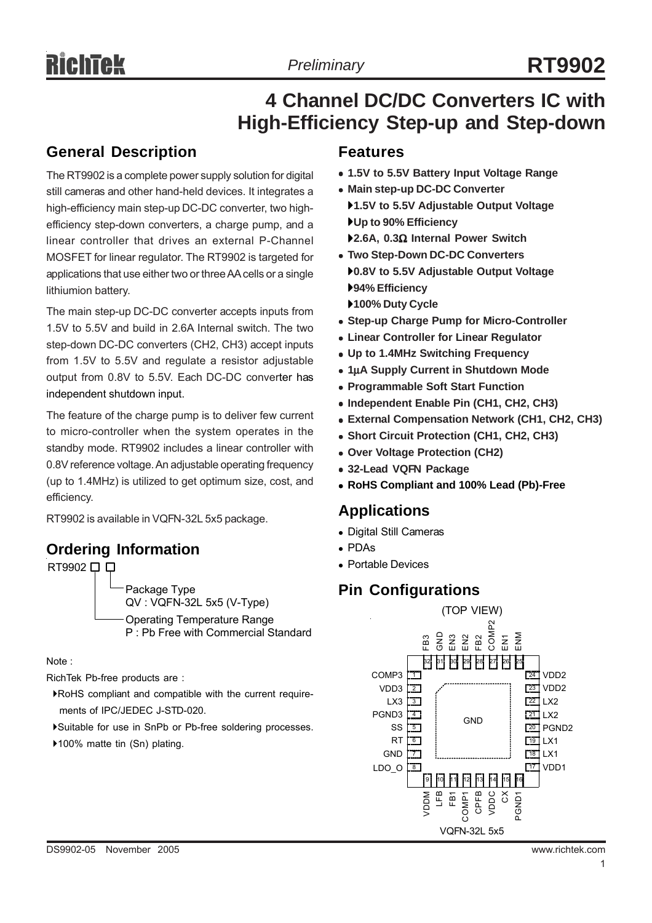## **4 Channel DC/DC Converters IC with High-Efficiency Step-up and Step-down**

### **General Description**

The RT9902 is a complete power supply solution for digital still cameras and other hand-held devices. It integrates a high-efficiency main step-up DC-DC converter, two highefficiency step-down converters, a charge pump, and a linear controller that drives an external P-Channel MOSFET for linear regulator. The RT9902 is targeted for applications that use either two or three AA cells or a single lithiumion battery.

The main step-up DC-DC converter accepts inputs from 1.5V to 5.5V and build in 2.6A Internal switch. The two step-down DC-DC converters (CH2, CH3) accept inputs from 1.5V to 5.5V and regulate a resistor adjustable output from 0.8V to 5.5V. Each DC-DC converter has independent shutdown input.

The feature of the charge pump is to deliver few current to micro-controller when the system operates in the standby mode. RT9902 includes a linear controller with 0.8V reference voltage. An adjustable operating frequency (up to 1.4MHz) is utilized to get optimum size, cost, and efficiency.

RT9902 is available in VQFN-32L 5x5 package.

### **Ordering Information**

RT9902 □ □ Package Type QV : VQFN-32L 5x5 (V-Type) Operating Temperature Range P : Pb Free with Commercial Standard

Note :

RichTek Pb-free products are :

- `RoHS compliant and compatible with the current require ments of IPC/JEDEC J-STD-020.
- `Suitable for use in SnPb or Pb-free soldering processes.
- ▶100% matte tin (Sn) plating.

#### **Features**

- <sup>z</sup> **1.5V to 5.5V Battery Input Voltage Range**
- **Main step-up DC-DC Converter** `**1.5V to 5.5V Adjustable Output Voltage**
- `**Up to 90% Efficiency** `**2.6A, 0.3**Ω **Internal Power Switch**
- **Two Step-Down DC-DC Converters** `**0.8V to 5.5V Adjustable Output Voltage** `**94% Efficiency**
- `**100% Duty Cycle**
- **Step-up Charge Pump for Micro-Controller**
- **Linear Controller for Linear Regulator**
- <sup>z</sup> **Up to 1.4MHz Switching Frequency**
- <sup>z</sup> **1**μ**A Supply Current in Shutdown Mode**
- **Programmable Soft Start Function**
- <sup>z</sup> **Independent Enable Pin (CH1, CH2, CH3)**
- **External Compensation Network (CH1, CH2, CH3)**
- <sup>z</sup> **Short Circuit Protection (CH1, CH2, CH3)**
- <sup>z</sup> **Over Voltage Protection (CH2)**
- $\bullet$  **32-Lead VQFN Package**
- <sup>z</sup> **RoHS Compliant and 100% Lead (Pb)-Free**

#### **Applications**

- Digital Still Cameras
- <sup>z</sup> PDAs
- Portable Devices

## **Pin Configurations**

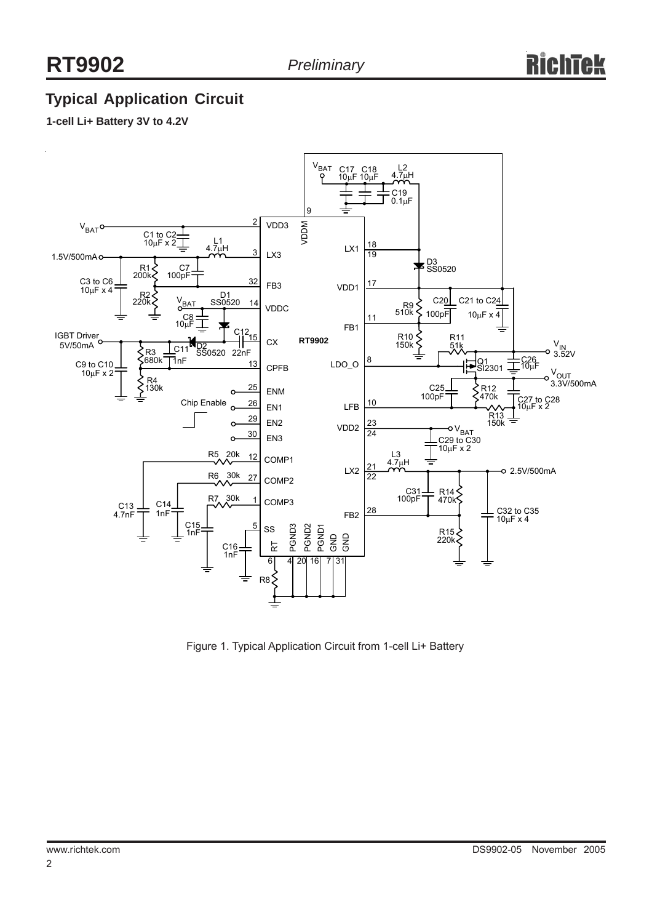## **Typical Application Circuit**

#### **1-cell Li+ Battery 3V to 4.2V**



Figure 1. Typical Application Circuit from 1-cell Li+ Battery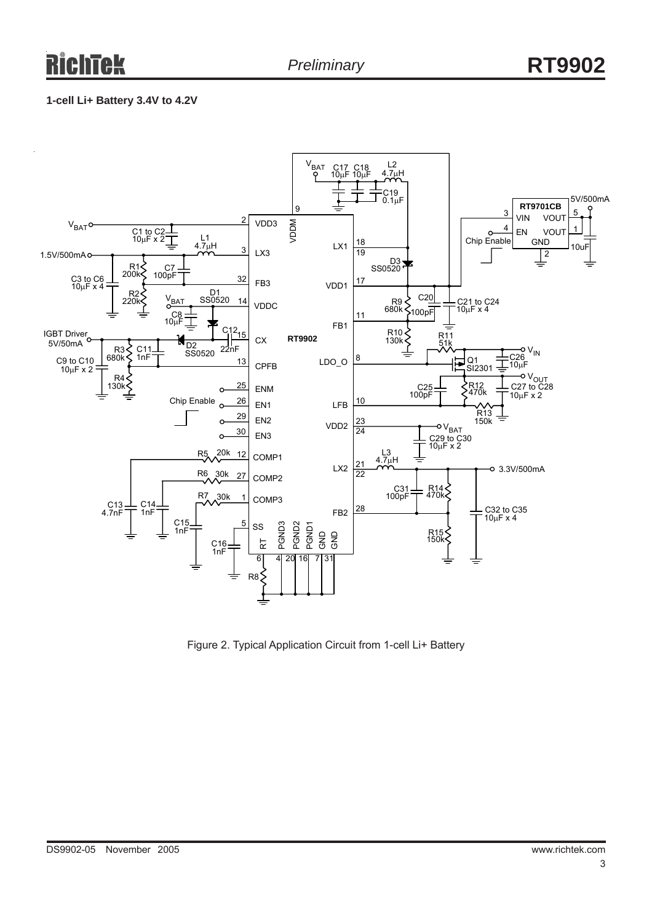#### **1-cell Li+ Battery 3.4V to 4.2V**



Figure 2. Typical Application Circuit from 1-cell Li+ Battery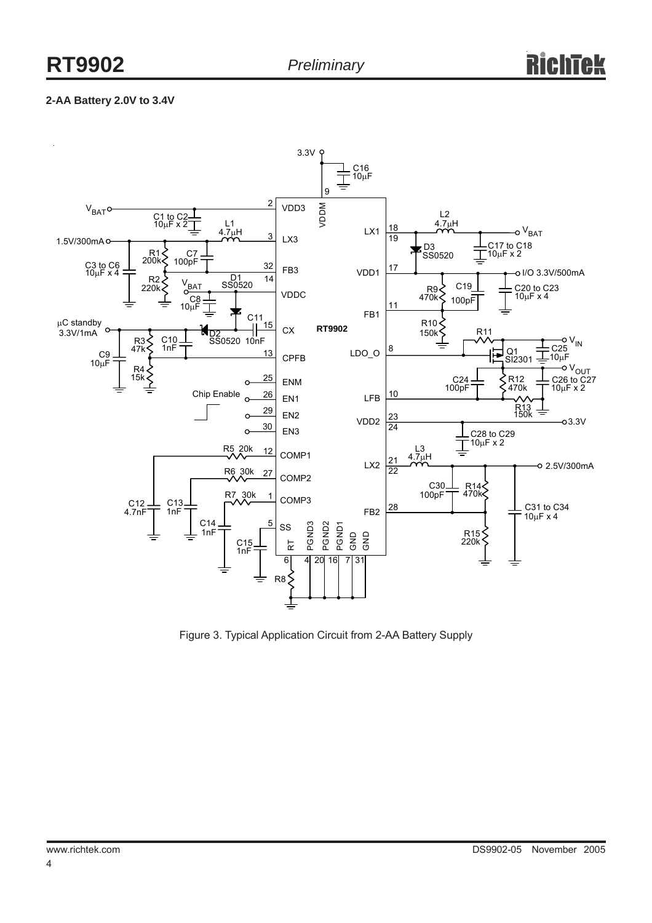#### **2-AA Battery 2.0V to 3.4V**



Figure 3. Typical Application Circuit from 2-AA Battery Supply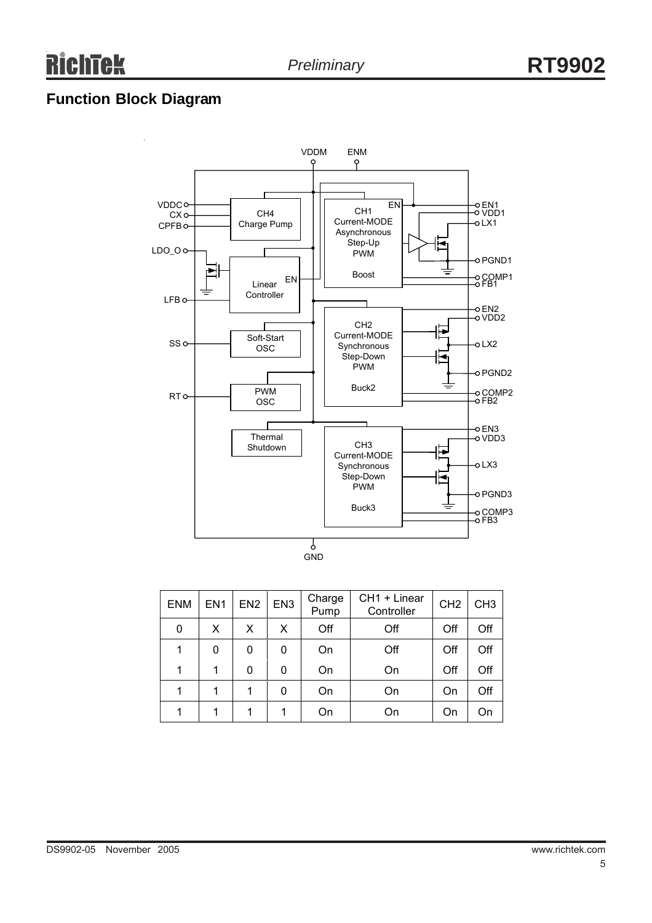## **Function Block Diagram**



| <b>ENM</b> | EN <sub>1</sub> | EN <sub>2</sub> | EN <sub>3</sub> | Charge<br>Pump | CH1 + Linear<br>Controller | CH <sub>2</sub> | CH <sub>3</sub> |
|------------|-----------------|-----------------|-----------------|----------------|----------------------------|-----------------|-----------------|
| 0          | X               | X               | X               | Off            | Off                        | Off             | Off             |
|            | 0               | 0               | 0               | On             | Off                        | Off             | Off             |
| 1          |                 | 0               | 0               | On             | On                         | Off             | Off             |
| 1          |                 | 1               | 0               | On             | On                         | On              | Off             |
| 1          |                 |                 | 1               | On             | On                         | On              | On              |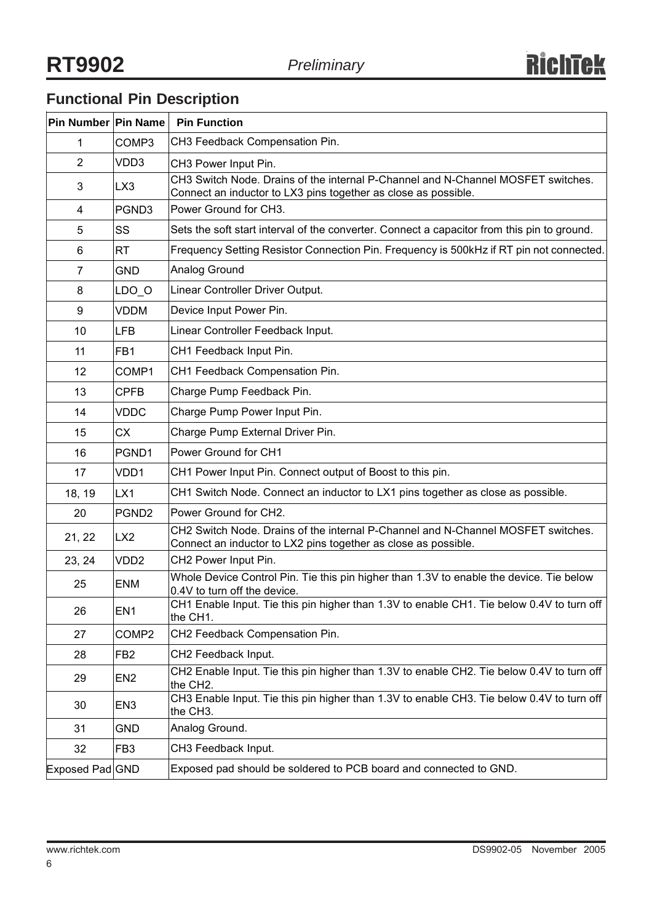## **Functional Pin Description**

| Pin Number Pin Name |                   | <b>Pin Function</b>                                                                                                                                |
|---------------------|-------------------|----------------------------------------------------------------------------------------------------------------------------------------------------|
| 1                   | COMP3             | CH3 Feedback Compensation Pin.                                                                                                                     |
| $\overline{2}$      | VDD3              | CH3 Power Input Pin.                                                                                                                               |
| 3                   | LX3               | CH3 Switch Node. Drains of the internal P-Channel and N-Channel MOSFET switches.<br>Connect an inductor to LX3 pins together as close as possible. |
| 4                   | PGND3             | Power Ground for CH3.                                                                                                                              |
| 5                   | SS                | Sets the soft start interval of the converter. Connect a capacitor from this pin to ground.                                                        |
| 6                   | <b>RT</b>         | Frequency Setting Resistor Connection Pin. Frequency is 500kHz if RT pin not connected.                                                            |
| 7                   | GND.              | Analog Ground                                                                                                                                      |
| 8                   | $LDO_O$           | Linear Controller Driver Output.                                                                                                                   |
| 9                   | <b>VDDM</b>       | Device Input Power Pin.                                                                                                                            |
| 10                  | LFB               | Linear Controller Feedback Input.                                                                                                                  |
| 11                  | FB <sub>1</sub>   | CH1 Feedback Input Pin.                                                                                                                            |
| 12                  | COMP1             | CH1 Feedback Compensation Pin.                                                                                                                     |
| 13                  | <b>CPFB</b>       | Charge Pump Feedback Pin.                                                                                                                          |
| 14                  | <b>VDDC</b>       | Charge Pump Power Input Pin.                                                                                                                       |
| 15                  | <b>CX</b>         | Charge Pump External Driver Pin.                                                                                                                   |
| 16                  | PGND1             | Power Ground for CH1                                                                                                                               |
| 17                  | VDD1              | CH1 Power Input Pin. Connect output of Boost to this pin.                                                                                          |
| 18, 19              | LX1               | CH1 Switch Node. Connect an inductor to LX1 pins together as close as possible.                                                                    |
| 20                  | PGND <sub>2</sub> | Power Ground for CH2.                                                                                                                              |
| 21, 22              | LX <sub>2</sub>   | CH2 Switch Node. Drains of the internal P-Channel and N-Channel MOSFET switches.<br>Connect an inductor to LX2 pins together as close as possible. |
| 23, 24              | VDD <sub>2</sub>  | CH2 Power Input Pin.                                                                                                                               |
| 25                  | <b>ENM</b>        | Whole Device Control Pin. Tie this pin higher than 1.3V to enable the device. Tie below<br>0.4V to turn off the device.                            |
| 26                  | EN <sub>1</sub>   | CH1 Enable Input. Tie this pin higher than 1.3V to enable CH1. Tie below 0.4V to turn off<br>the CH1.                                              |
| 27                  | COMP <sub>2</sub> | CH2 Feedback Compensation Pin.                                                                                                                     |
| 28                  | FB <sub>2</sub>   | CH2 Feedback Input.                                                                                                                                |
| 29                  | EN <sub>2</sub>   | CH2 Enable Input. Tie this pin higher than 1.3V to enable CH2. Tie below 0.4V to turn off<br>the CH2.                                              |
| 30                  | EN3               | CH3 Enable Input. Tie this pin higher than 1.3V to enable CH3. Tie below 0.4V to turn off<br>the CH3.                                              |
| 31                  | <b>GND</b>        | Analog Ground.                                                                                                                                     |
| 32                  | FB <sub>3</sub>   | CH3 Feedback Input.                                                                                                                                |
| Exposed Pad GND     |                   | Exposed pad should be soldered to PCB board and connected to GND.                                                                                  |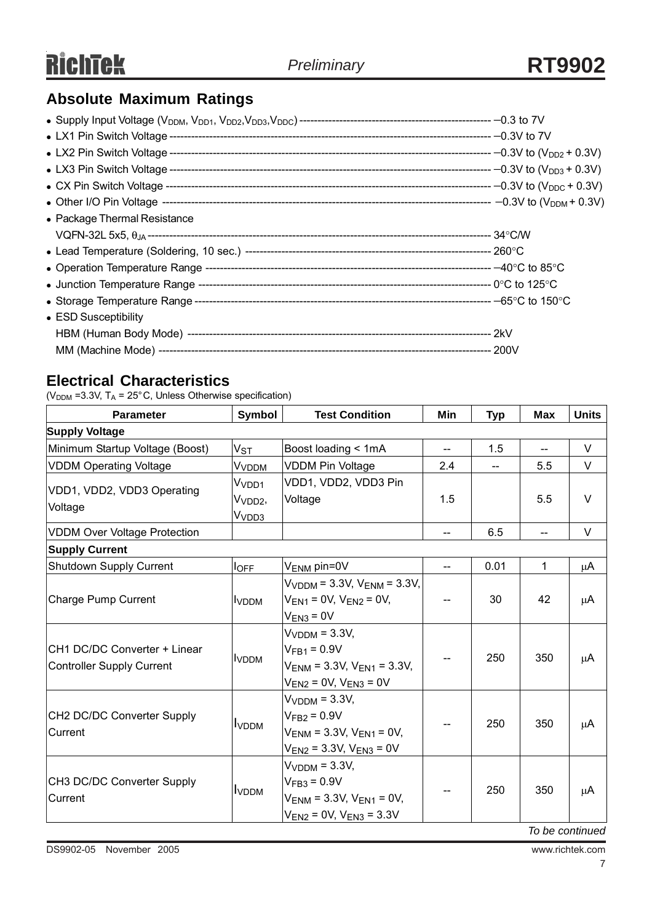## **Absolute Maximum Ratings**

| • Package Thermal Resistance |  |
|------------------------------|--|
|                              |  |
|                              |  |
|                              |  |
|                              |  |
|                              |  |
| • ESD Susceptibility         |  |
|                              |  |
|                              |  |

## **Electrical Characteristics**

( $V<sub>DDM</sub>$  =3.3V, T<sub>A</sub> = 25°C, Unless Otherwise specification)

| <b>Parameter</b>                                                 | Symbol                                            | <b>Test Condition</b>                                                                                          | Min                      | <b>Typ</b> | <b>Max</b>               | <b>Units</b> |
|------------------------------------------------------------------|---------------------------------------------------|----------------------------------------------------------------------------------------------------------------|--------------------------|------------|--------------------------|--------------|
| <b>Supply Voltage</b>                                            |                                                   |                                                                                                                |                          |            |                          |              |
| Minimum Startup Voltage (Boost)                                  | $V_{\rm ST}$                                      | Boost loading < 1mA                                                                                            | $-$                      | 1.5        | $\overline{\phantom{a}}$ | $\vee$       |
| <b>VDDM Operating Voltage</b>                                    | V <sub>VDDM</sub>                                 | <b>VDDM Pin Voltage</b>                                                                                        | 2.4                      | $-$        | 5.5                      | V            |
| VDD1, VDD2, VDD3 Operating<br>Voltage                            | Vvnn1<br>V <sub>VDD2</sub> ,<br>V <sub>VDD3</sub> | VDD1, VDD2, VDD3 Pin<br>Voltage                                                                                | 1.5                      |            | 5.5                      | $\vee$       |
| <b>VDDM Over Voltage Protection</b>                              |                                                   |                                                                                                                | $- -$                    | 6.5        | $\overline{\phantom{a}}$ | V            |
| <b>Supply Current</b>                                            |                                                   |                                                                                                                |                          |            |                          |              |
| Shutdown Supply Current                                          | $I_{OFF}$                                         | $V_{\text{ENM}}$ pin=0V                                                                                        | $\overline{\phantom{a}}$ | 0.01       | 1                        | μA           |
| Charge Pump Current                                              | I <sub>VDDM</sub>                                 | $V_{VDDM}$ = 3.3V, $V_{ENM}$ = 3.3V,<br>$V_{EN1}$ = 0V, $V_{EN2}$ = 0V,<br>$V_{EN3} = 0V$                      | --                       | 30         | 42                       | $\mu$ A      |
| CH1 DC/DC Converter + Linear<br><b>Controller Supply Current</b> | <b>I</b> VDDM                                     | $VVDDM = 3.3V,$<br>$V_{FB1} = 0.9V$<br>$V_{FNM} = 3.3V$ , $V_{FN1} = 3.3V$ ,<br>$V_{EN2}$ = 0V, $V_{EN3}$ = 0V | $-$                      | 250        | 350                      | μA           |
| CH2 DC/DC Converter Supply<br>Current                            | <b>I</b> VDDM                                     | $VVDDM = 3.3V,$<br>$VFB2 = 0.9V$<br>$V_{ENM}$ = 3.3V, $V_{EN1}$ = 0V,<br>$V_{EN2}$ = 3.3V, $V_{EN3}$ = 0V      |                          | 250        | 350                      | $\mu$ A      |
| CH3 DC/DC Converter Supply<br>Current                            | <b>I</b> VDDM                                     | $VVDDM = 3.3V,$<br>$V_{FB3} = 0.9V$<br>$V_{ENM}$ = 3.3V, $V_{EN1}$ = 0V,<br>$V_{EN2}$ = 0V, $V_{EN3}$ = 3.3V   |                          | 250        | 350<br>$-1$              | μA           |

*To be continued*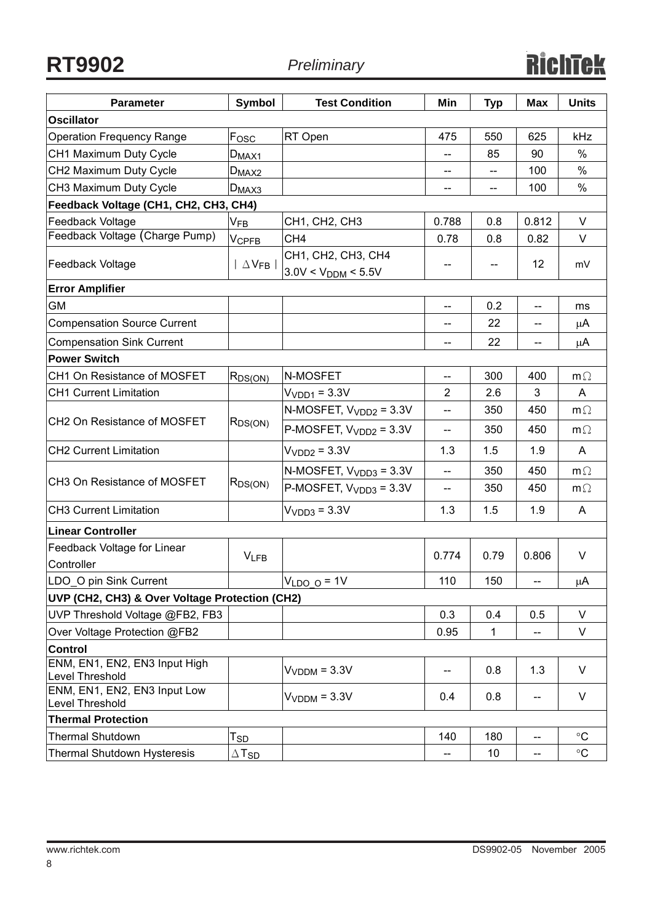| <b>Parameter</b>                                 | <b>Symbol</b>              | <b>Test Condition</b>                         | Min                      | <b>Typ</b> | <b>Max</b>                            | <b>Units</b> |
|--------------------------------------------------|----------------------------|-----------------------------------------------|--------------------------|------------|---------------------------------------|--------------|
| <b>Oscillator</b>                                |                            |                                               |                          |            |                                       |              |
| <b>Operation Frequency Range</b>                 | Fosc                       | RT Open                                       | 475                      | 550        | 625                                   | kHz          |
| CH1 Maximum Duty Cycle                           | $D_{MAX1}$                 |                                               | --                       | 85         | 90                                    | %            |
| CH2 Maximum Duty Cycle                           | $D_{MAX2}$                 |                                               | --                       |            | 100                                   | $\%$         |
| CH3 Maximum Duty Cycle                           | $D_{MAX3}$                 |                                               |                          | --         | 100                                   | $\%$         |
| Feedback Voltage (CH1, CH2, CH3, CH4)            |                            |                                               |                          |            |                                       |              |
| Feedback Voltage                                 | $\mathsf{V}_{\mathsf{FB}}$ | CH1, CH2, CH3                                 | 0.788                    | 0.8        | 0.812                                 | $\vee$       |
| Feedback Voltage (Charge Pump)                   | $V_{\mathsf{CPFB}}$        | CH <sub>4</sub>                               | 0.78                     | 0.8        | 0.82                                  | V            |
| Feedback Voltage                                 | $\Delta$ V <sub>FB</sub>   | CH1, CH2, CH3, CH4<br>$3.0V < V_{DDM} < 5.5V$ | --                       |            | 12                                    | mV           |
| <b>Error Amplifier</b>                           |                            |                                               |                          |            |                                       |              |
| GM                                               |                            |                                               | $-$                      | 0.2        | $\overline{\phantom{a}}$              | ms           |
| <b>Compensation Source Current</b>               |                            |                                               | $-$                      | 22         |                                       | μA           |
| <b>Compensation Sink Current</b>                 |                            |                                               |                          | 22         |                                       | μA           |
| <b>Power Switch</b>                              |                            |                                               |                          |            |                                       |              |
| CH1 On Resistance of MOSFET                      | R <sub>DS(ON)</sub>        | N-MOSFET                                      | $\overline{\phantom{a}}$ | 300        | 400                                   | $m\Omega$    |
| <b>CH1 Current Limitation</b>                    |                            | $VVDD1 = 3.3V$                                | 2                        | 2.6        | 3                                     | A            |
|                                                  | $R_{DS(ON)}$               | N-MOSFET, $V_{VDD2} = 3.3V$                   | --                       | 350        | 450                                   | $m\Omega$    |
| CH2 On Resistance of MOSFET                      |                            | $P-MOSFET, VVDD2 = 3.3V$                      | $\overline{\phantom{a}}$ | 350        | 450                                   | $m\Omega$    |
| <b>CH2 Current Limitation</b>                    |                            | $VVDD2 = 3.3V$                                | 1.3                      | 1.5        | 1.9                                   | A            |
|                                                  | $R_{DS(ON)}$               | $N-MOSFET, VVDD3 = 3.3V$                      | $\overline{\phantom{0}}$ | 350        | 450                                   | $m\Omega$    |
| CH3 On Resistance of MOSFET                      |                            | $P-MOSFET, VVDD3 = 3.3V$                      | $\overline{\phantom{a}}$ | 350        | 450                                   | $m\Omega$    |
| <b>CH3 Current Limitation</b>                    |                            | $VVDD3 = 3.3V$                                | 1.3                      | 1.5        | 1.9                                   | A            |
| Linear Controller                                |                            |                                               |                          |            |                                       |              |
| Feedback Voltage for Linear<br>Controller        | $V_{LFB}$                  |                                               | 0.774                    | 0.79       | 0.806                                 | V            |
| LDO O pin Sink Current                           |                            | $VLDO$ o = 1V                                 | 110                      | 150        | $\hspace{0.05cm}$ – $\hspace{0.05cm}$ | μA           |
| UVP (CH2, CH3) & Over Voltage Protection (CH2)   |                            |                                               |                          |            |                                       |              |
| UVP Threshold Voltage @FB2, FB3                  |                            |                                               | 0.3                      | 0.4        | 0.5                                   | V            |
| Over Voltage Protection @FB2                     |                            |                                               | 0.95                     | 1          | --                                    | V            |
| Control                                          |                            |                                               |                          |            |                                       |              |
| ENM, EN1, EN2, EN3 Input High<br>Level Threshold |                            | $VVDDM = 3.3V$                                | $\overline{\phantom{a}}$ | 0.8        | 1.3                                   | V            |
| ENM, EN1, EN2, EN3 Input Low<br>Level Threshold  |                            | $VVDDM = 3.3V$                                | 0.4                      | 0.8        | --                                    | V            |
| <b>Thermal Protection</b>                        |                            |                                               |                          |            |                                       |              |
| <b>Thermal Shutdown</b>                          | $\mathsf{T}_{\mathsf{SD}}$ |                                               | 140                      | 180        | --                                    | $\circ$ C    |
| Thermal Shutdown Hysteresis                      | $\Delta$ Tsd               |                                               | $\overline{\phantom{a}}$ | 10         | $\qquad \qquad -$                     | $\circ$ C    |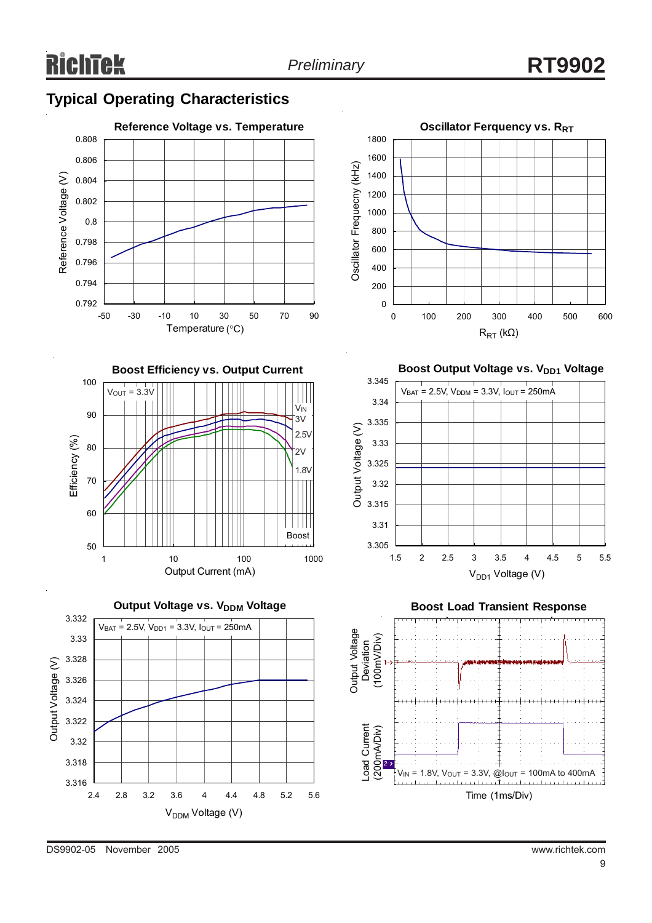## **Typical Operating Characteristics**











**Boost Output Voltage vs. V<sub>DD1</sub> Voltage** 





DS9902-05 November 2005 www.richtek.com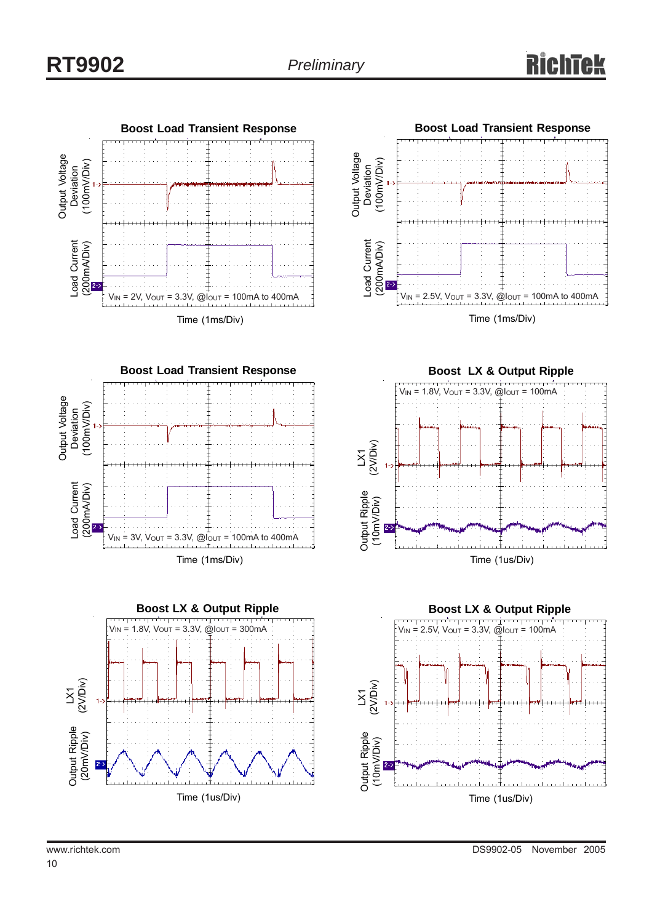







**Boost LX & Output Ripple**  $V_{\text{IN}}$  = 1.8V,  $V_{\text{OUT}}$  = 3.3V,  $\omega_{\text{IOUT}}$  = 100mA (2V/Div)  $\bar{\Sigma}$ Output Ripple Output Ripple (10mV/Div) (10mV/Div) Time (1us/Div)

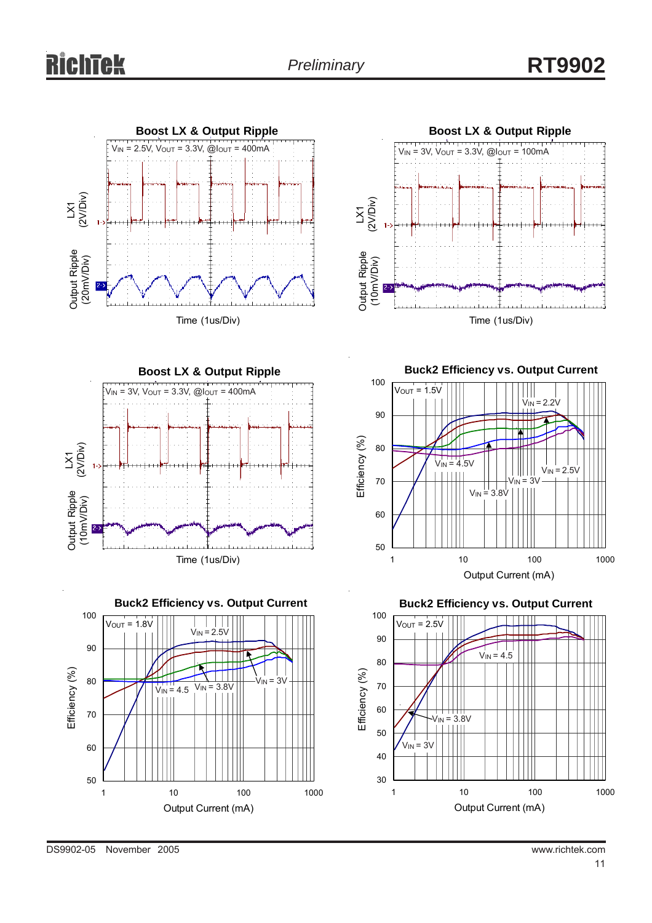



**Boost LX & Output Ripple**  $V_{IN} = 3V$ ,  $V_{OUT} = 3.3V$ ,  $@I_{OUT} = 400mA$ (2V/Div)  $\bar{\Sigma}$ Output Ripple<br>(10mV/Div) Output Ripple (10mV/Div)Time (1us/Div)



**Buck2 Efficiency vs. Output Current**



**Buck2 Efficiency vs. Output Current**

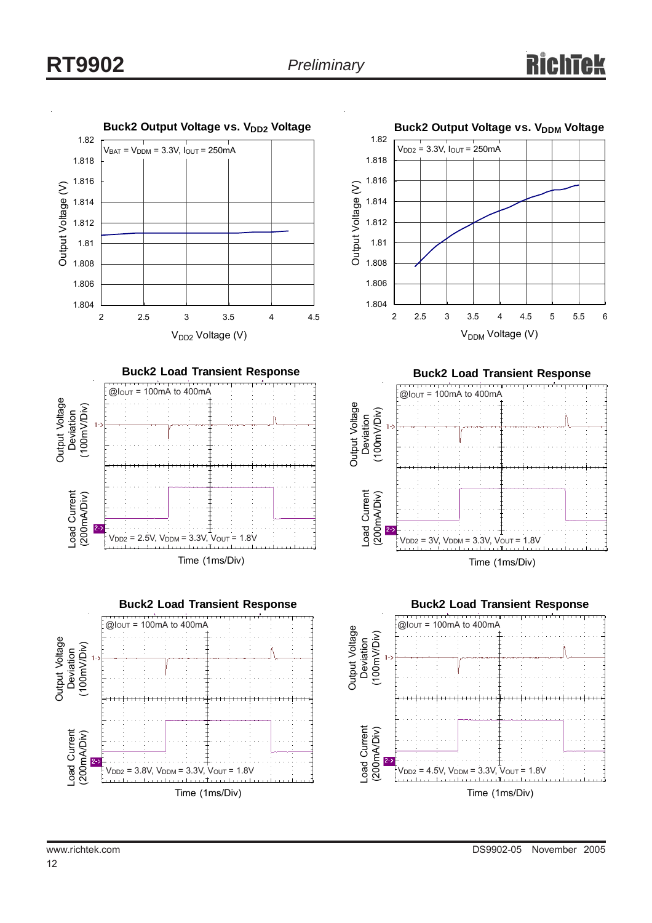## **RT9902** *Preliminary*

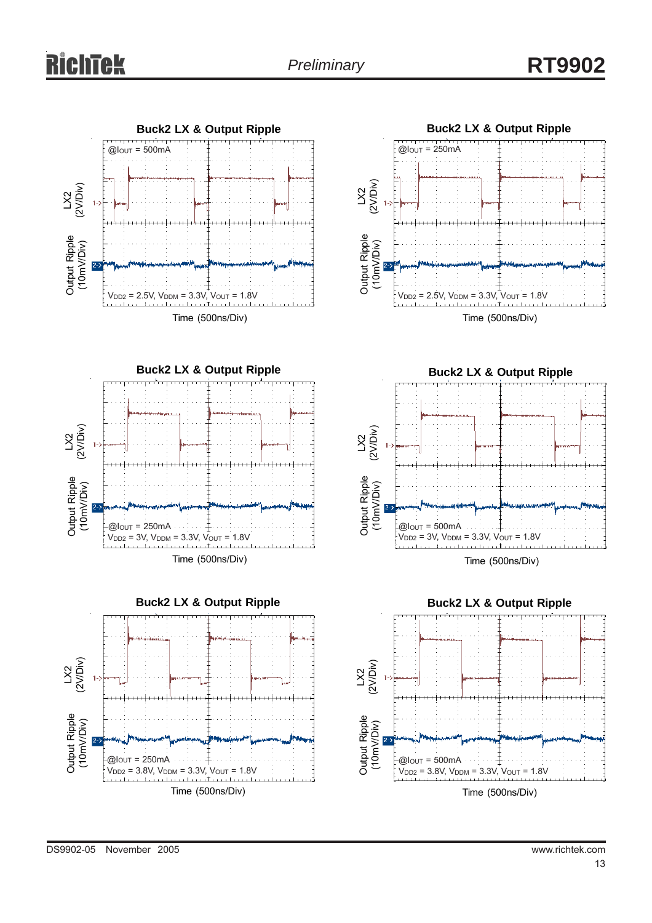











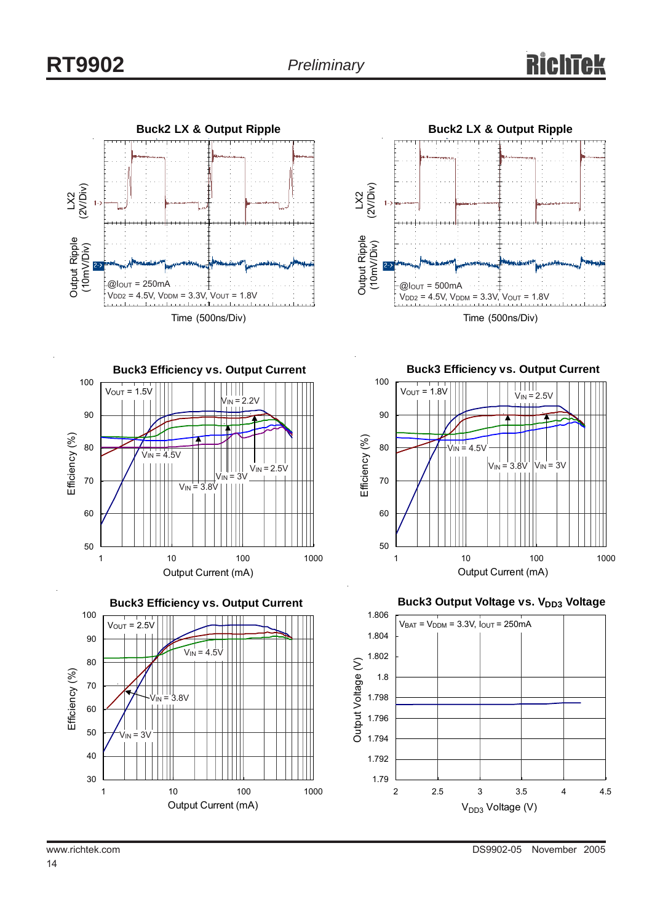



**Buck3 Efficiency vs. Output Current** 100  $V_{OUT} = 1.5V$  $\mathbf{H}$  $V_{IN} = 2.2V$ 90 Efficiency (%) Efficiency (%) 80  $V_{\text{IN}} = 4.5V$  $V_{IN} = 2.5V$  $v_{\text{IN}} = 3v$ 70  $V_{IN}$  = 3.8V 60 50 1 10 100 1000 Output Current (mA)



**Buck3 Efficiency vs. Output Current**



**Buck3 Output Voltage vs. VDD3 Voltage** 

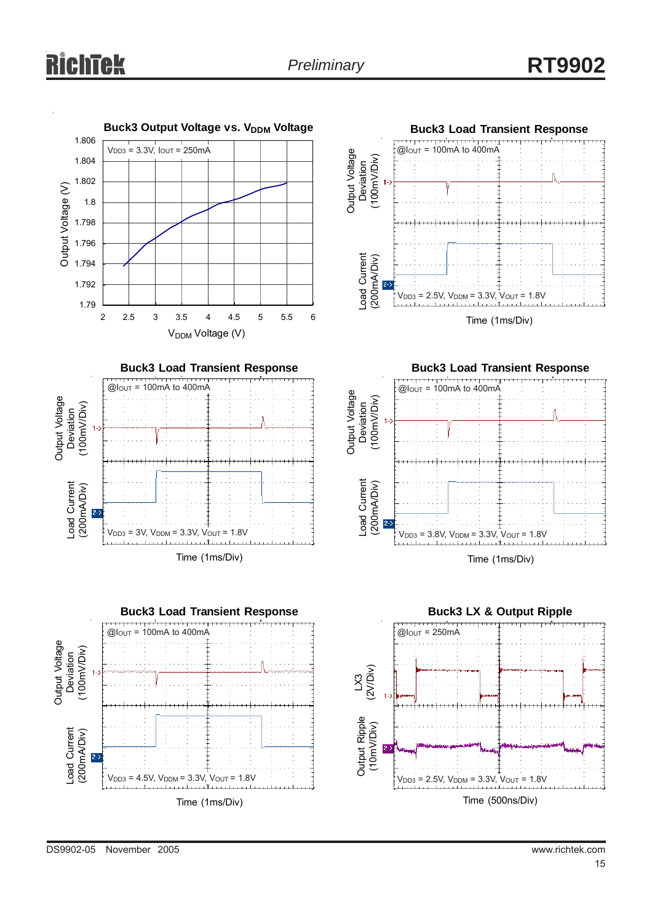# itek

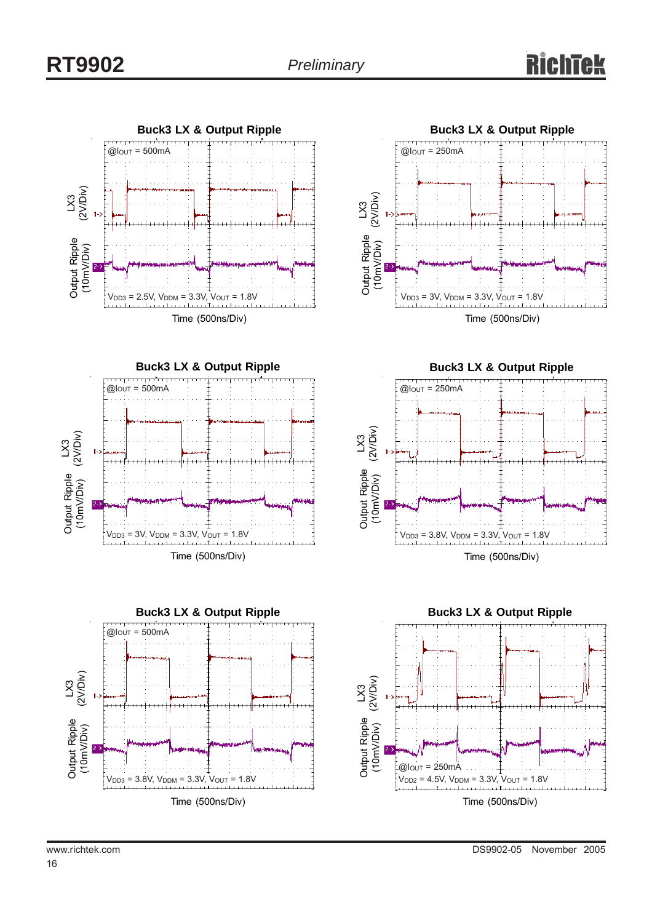



**Buck3 LX & Output Ripple**  $V<sub>DD3</sub> = 3.8V, V<sub>DDM</sub> = 3.3V, V<sub>OUT</sub> = 1.8V$  $\mathbb{S}$ (2V/Div) Output Ripple (10mV/Div)  $@$  $I<sub>OUT</sub> = 500$ mA





**Buck3 LX & Output Ripple** Time (500ns/Div)  $V_{DD3} = 3.8V$ ,  $V_{DDM} = 3.3V$ ,  $V_{OUT} = 1.8V$  $\mathbb{S}% _{n}^{X\left( t\right) }$ (2V/Div) Output Ripple (10mV/Div)  $@$ lout = 250mA



16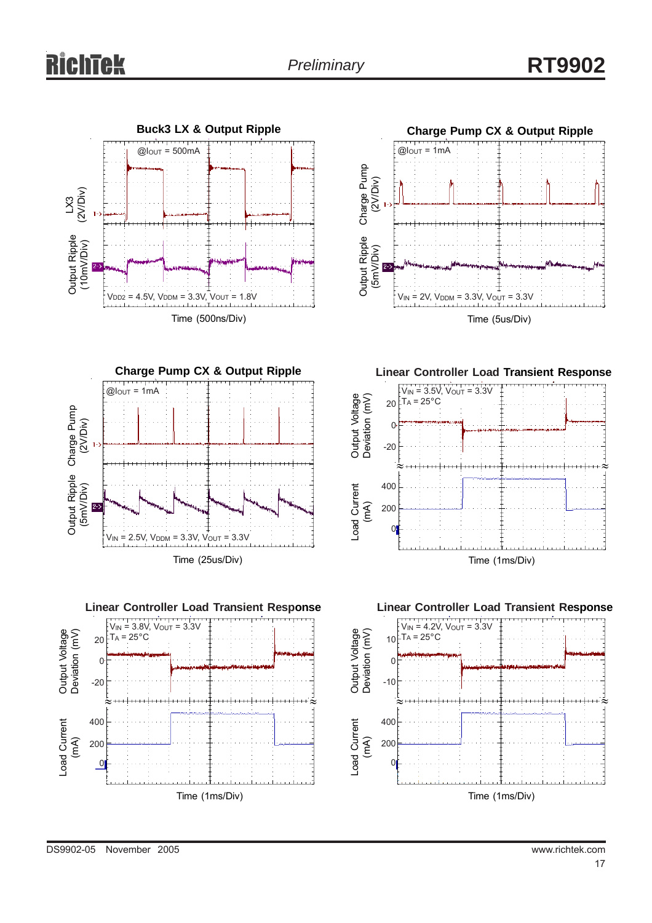









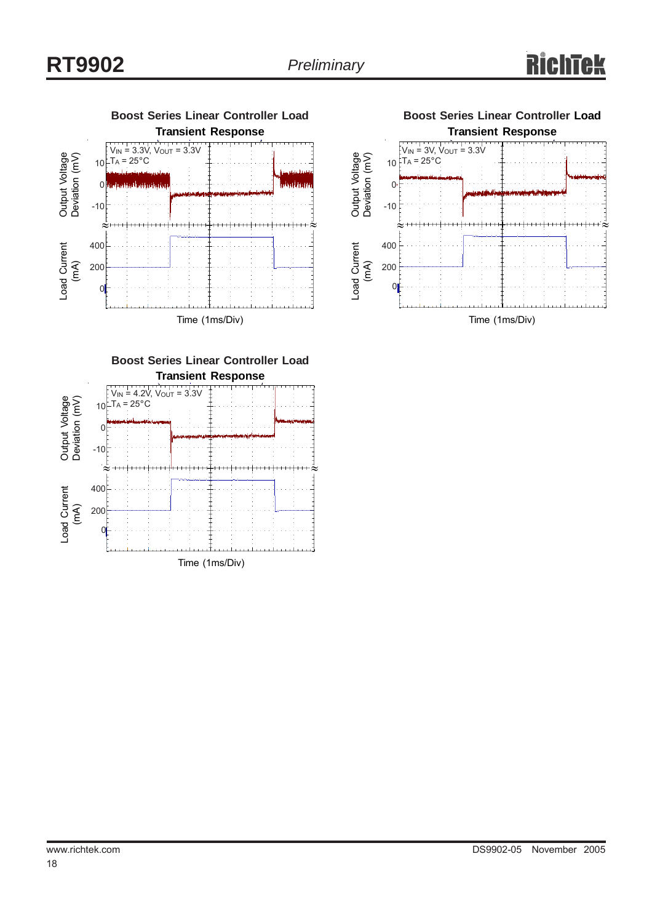



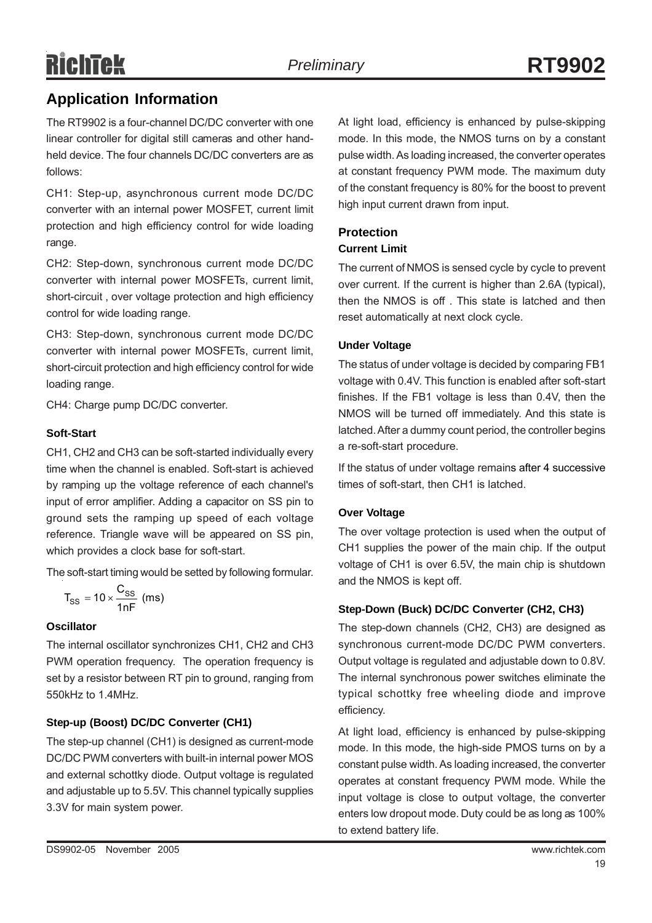# RichTek

The RT9902 is a four-channel DC/DC converter with one linear controller for digital still cameras and other handheld device. The four channels DC/DC converters are as follows:

CH1: Step-up, asynchronous current mode DC/DC converter with an internal power MOSFET, current limit protection and high efficiency control for wide loading range.

CH2: Step-down, synchronous current mode DC/DC converter with internal power MOSFETs, current limit, short-circuit , over voltage protection and high efficiency control for wide loading range.

CH3: Step-down, synchronous current mode DC/DC converter with internal power MOSFETs, current limit, short-circuit protection and high efficiency control for wide loading range.

CH4: Charge pump DC/DC converter.

#### **Soft-Start**

CH1, CH2 and CH3 can be soft-started individually every time when the channel is enabled. Soft-start is achieved by ramping up the voltage reference of each channel's input of error amplifier. Adding a capacitor on SS pin to ground sets the ramping up speed of each voltage reference. Triangle wave will be appeared on SS pin, which provides a clock base for soft-start.

The soft-start timing would be setted by following formular.

$$
T_{SS} = 10 \times \frac{C_{SS}}{1nF}
$$
 (ms)

#### **Oscillator**

The internal oscillator synchronizes CH1, CH2 and CH3 PWM operation frequency. The operation frequency is set by a resistor between RT pin to ground, ranging from 550kHz to 1.4MHz.

#### **Step-up (Boost) DC/DC Converter (CH1)**

The step-up channel (CH1) is designed as current-mode DC/DC PWM converters with built-in internal power MOS and external schottky diode. Output voltage is regulated and adjustable up to 5.5V. This channel typically supplies 3.3V for main system power.

At light load, efficiency is enhanced by pulse-skipping mode. In this mode, the NMOS turns on by a constant pulse width. As loading increased, the converter operates at constant frequency PWM mode. The maximum duty of the constant frequency is 80% for the boost to prevent high input current drawn from input.

## **Protection**

#### **Current Limit**

The current of NMOS is sensed cycle by cycle to prevent over current. If the current is higher than 2.6A (typical), then the NMOS is off . This state is latched and then reset automatically at next clock cycle.

#### **Under Voltage**

The status of under voltage is decided by comparing FB1 voltage with 0.4V. This function is enabled after soft-start finishes. If the FB1 voltage is less than 0.4V, then the NMOS will be turned off immediately. And this state is latched. After a dummy count period, the controller begins a re-soft-start procedure.

If the status of under voltage remains after 4 successive times of soft-start, then CH1 is latched.

#### **Over Voltage**

The over voltage protection is used when the output of CH1 supplies the power of the main chip. If the output voltage of CH1 is over 6.5V, the main chip is shutdown and the NMOS is kept off.

#### **Step-Down (Buck) DC/DC Converter (CH2, CH3)**

The step-down channels (CH2, CH3) are designed as synchronous current-mode DC/DC PWM converters. Output voltage is regulated and adjustable down to 0.8V. The internal synchronous power switches eliminate the typical schottky free wheeling diode and improve efficiency.

At light load, efficiency is enhanced by pulse-skipping mode. In this mode, the high-side PMOS turns on by a constant pulse width. As loading increased, the converter operates at constant frequency PWM mode. While the input voltage is close to output voltage, the converter enters low dropout mode. Duty could be as long as 100% to extend battery life.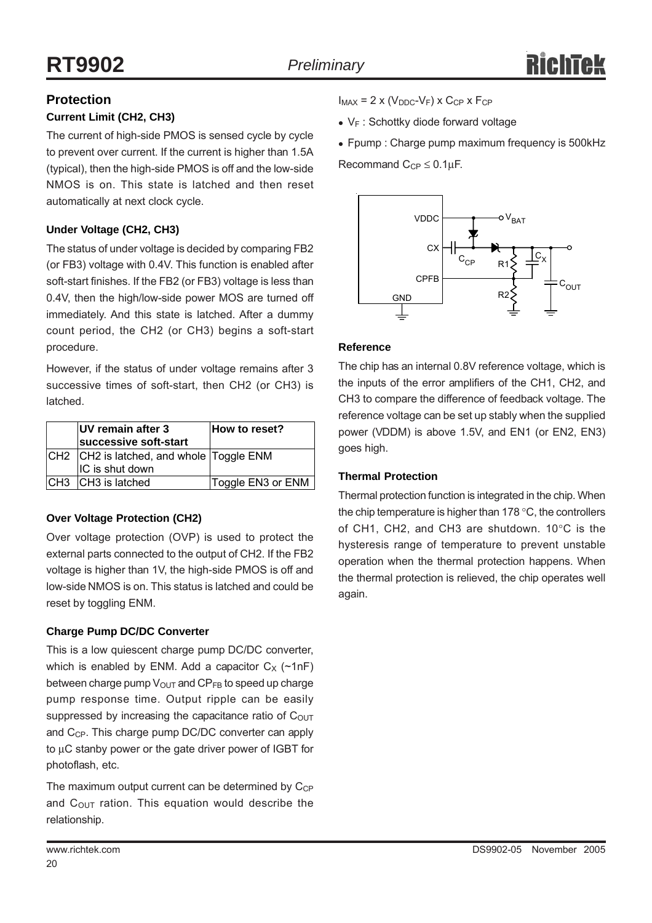#### **Protection**

#### **Current Limit (CH2, CH3)**

The current of high-side PMOS is sensed cycle by cycle to prevent over current. If the current is higher than 1.5A (typical), then the high-side PMOS is off and the low-side NMOS is on. This state is latched and then reset automatically at next clock cycle.

#### **Under Voltage (CH2, CH3)**

The status of under voltage is decided by comparing FB2 (or FB3) voltage with 0.4V. This function is enabled after soft-start finishes. If the FB2 (or FB3) voltage is less than 0.4V, then the high/low-side power MOS are turned off immediately. And this state is latched. After a dummy count period, the CH2 (or CH3) begins a soft-start procedure.

However, if the status of under voltage remains after 3 successive times of soft-start, then CH2 (or CH3) is latched.

| UV remain after 3<br>successive soft-start | How to reset?     |
|--------------------------------------------|-------------------|
| CH2  CH2 is latched, and whole  Toggle ENM |                   |
| IC is shut down                            |                   |
| CH3 CH3 is latched                         | Toggle EN3 or ENM |

#### **Over Voltage Protection (CH2)**

Over voltage protection (OVP) is used to protect the external parts connected to the output of CH2. If the FB2 voltage is higher than 1V, the high-side PMOS is off and low-side NMOS is on. This status is latched and could be reset by toggling ENM.

#### **Charge Pump DC/DC Converter**

This is a low quiescent charge pump DC/DC converter, which is enabled by ENM. Add a capacitor  $C_x$  (~1nF) between charge pump  $V_{\text{OUT}}$  and  $\text{CP}_{\text{FB}}$  to speed up charge pump response time. Output ripple can be easily suppressed by increasing the capacitance ratio of  $C<sub>OUT</sub>$ and  $C_{CP}$ . This charge pump DC/DC converter can apply to μC stanby power or the gate driver power of IGBT for photoflash, etc.

The maximum output current can be determined by  $C_{CP}$ and  $C_{\text{OUT}}$  ration. This equation would describe the relationship.

 $\bullet$  V<sub>F</sub> : Schottky diode forward voltage

• Fpump : Charge pump maximum frequency is 500kHz Recommand  $C_{CP} \leq 0.1 \mu F$ .



#### **Reference**

The chip has an internal 0.8V reference voltage, which is the inputs of the error amplifiers of the CH1, CH2, and CH3 to compare the difference of feedback voltage. The reference voltage can be set up stably when the supplied power (VDDM) is above 1.5V, and EN1 (or EN2, EN3) goes high.

#### **Thermal Protection**

Thermal protection function is integrated in the chip. When the chip temperature is higher than 178 °C, the controllers of CH1, CH2, and CH3 are shutdown. 10°C is the hysteresis range of temperature to prevent unstable operation when the thermal protection happens. When the thermal protection is relieved, the chip operates well again.